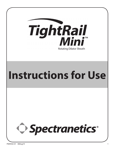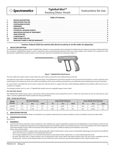

#### **Table of Contents**

|     | DEVICE DESCRIPTION DE CONTRA EN EN ENTERTA EN EN ENTERTA EN EL ENTRE EN EN ENTERTA EN EL ENTRE EN EN ENTERTA E                                                                                                                       |  |
|-----|--------------------------------------------------------------------------------------------------------------------------------------------------------------------------------------------------------------------------------------|--|
| 2.  |                                                                                                                                                                                                                                      |  |
| 3.  | <u>CONTRAINDICATIONS [100] [2001 TRAINDICATIONS [100] [2001 TRAIN DISCOVERING THE INCOME OF THE INCOME OF THE INCOME OF THE INCOME OF THE INCOME OF THE INCOME OF THE INCOME OF THE INCOME OF THE INCOME OF THE INCOME OF THE IN</u> |  |
| 4.  |                                                                                                                                                                                                                                      |  |
| 5.  |                                                                                                                                                                                                                                      |  |
| 6.  |                                                                                                                                                                                                                                      |  |
| 7.  |                                                                                                                                                                                                                                      |  |
| 8.  | HOW SUPPLIED with a contract of the contract of the contract of the contract of the contract of the contract of the contract of the contract of the contract of the contract of the contract of the contract of the contract o       |  |
| 9.  |                                                                                                                                                                                                                                      |  |
| 10. |                                                                                                                                                                                                                                      |  |
| 11. |                                                                                                                                                                                                                                      |  |

#### **Caution: Federal (USA) law restricts this device to sale by or on the order of a physician.**

#### **1. DEVICE DESCRIPTION**

The TightRail Mini Rotating Dilator Sheath (TightRail Mini sheath) is an intra-operative device designed to facilitate the percutaneous removal of cardiac leads from the vasculature. TightRail Mini sheath is used in conjunction with conventional lead extraction tools (e.g., locking stylets, outer sheaths). The components of the Spectranetics TightRail Mini sheath include an inner and outer shaft and a handheld drive mechanism (Figure 1.).



#### **Figure 1. TightRail Mini Sheath Device**

The inner shaft (drive shaft) is able to rotate within the outer shaft to activate the rotary dilating feature at the tip.

The stationary outer shaft is contained within a polymer jacket. The handheld drive mechanism attached to the proximal end of the device is used to rotate the inner shaft. Rotation of the distal cam of the inner shaft causes dilation of the tissue and fibrous attachments surrounding the lead, facilitating the removal of said lead.

An outer sheath is provided that can be used in conjunction with the device to support the device shaft facilitating additional tissue dilation effect and serve as a conduit for re-implant.

The package includes one 9F or one 11F TightRail Mini sheath and one compatible support outer sheath.

#### **Use with other devices**

The TightRail Mini Sheath may be used in conjunction with the Spectranetics Lead Locking Device (LLD™). Follow the "Instructions for Use" for other devices used. Table 1 provides TightRail Mini Sheath models and sizing specifications.

#### **Table 1. Model Specifications**

| <b>Model</b>  | <b>Tip Inner Diameter</b> |       |      | <b>Device Outer Diameter</b> |       |      | <b>Outer Sheath Inner Diameter</b> |       |          |
|---------------|---------------------------|-------|------|------------------------------|-------|------|------------------------------------|-------|----------|
| <b>Number</b> | (F)                       | (in.) | (mm) | (F)                          | (in.) | (mm) | (F)                                | (in.) | (mm)     |
| 540-009       | 9.2                       | 0.119 | 3.0  | 15.9                         | 0.207 | 5.3  | 16.6                               | 0.216 | <u>.</u> |
| 540-011       | $\mathsf{L}$              | 0.145 | 3.7  | 18.0                         | 0.234 | 5.9  | 18.7                               | 0.243 | 6.Z      |

#### **2. INDICATIONS FOR USE**

The TightRail Mini Rotating Dilator Sheath is intended for use in patients requiring the percutaneous dilation of tissue to facilitate removal of cardiac leads.

#### **3. CONTRAINDICATIONS**

None known.

#### **4. WARNINGS**

- Lead removal devices should be used at institutions with cardiothoracic surgical capabilities by physicians knowledgeable in the techniques and devices for lead removal. Complication prevention and management protocols should be in place and routinely practiced. The recommendations for lead management of the Heart Rhythm Society<sup>1</sup> (HRS) and European Heart Rhythm Association<sup>2</sup> (EHRA) are highly recommended for best results.
- When using a locking stylet:
	- Do not abandon a lead in a patient with a locking stylet still in place inside the lead. Severe vessel or endocardial wall damage may result from the stiffened lead or from fracture or migration of the abandoned stylet wire.
	- Do not apply weighted traction to an inserted locking stylet as myocardial avulsion, hypotension, or venous wall tearing may result.
	- Be aware that leads with a J-shape retention wire occupying their inner lumen (rather than being outside of the coil) may not be compatible with the locking stylet. Insertion of the locking stylet into such a lead may result in protrusion and possible migration of the J-shape retention wire.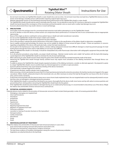

# **TightRail MiniTM**

Rotating Dilator Sheath

- Do not insert more than one TightRail Mini sheath or outer sheath into a vein at a time. Do not insert more than one lead into a TightRail Mini device at a time. Severe vessel damage, including venous wall laceration requiring surgical repair may occur.
- Maintain appropriate traction on the lead being extracted during advancement of the TightRail Mini sheath or outer sheath.
- The TightRail Mini sheath should only be used to minimally enter the vessel. Do not attempt to enter the SVC structure or attempt to navigate the TightRail Mini sheath into bends beyond the convergence of the innominate and brachiocephalic veins as vessel wall or cardiac lead damage may occur.
- Excessive advancement force may result in device or vessel wall damage.

#### **5. PRECAUTIONS**

- Thoroughly review the package insert for conventional lead extraction tools before attempting to use the TightRail Mini sheath.
- Do not re-sterilize or reuse this device, as these actions can compromise device performance or increase the risk of cross-contamination due to inappropriate reprocessing.
- Reuse of this single use device could lead to serious patient injury or death and voids manufacturer warranties.
- Do not use the TightRail Mini sheath if the tamper-evident seal is broken.
- Do not use the TightRail Mini sheath if any component has been damaged.
- Prior to the procedure, evaluate the physical dimensions of the lead in relation to the specifications of the dilator sheath to determine compatibility.
- Due to rapidly evolving lead technology, this device may not be suitable for dilation of tissue around all types of leads. If there are questions or concerns regarding compatibility of this device with particular leads, contact the lead manufacturer.
- Do not pull on the lead because it may stretch, distort, or break, making subsequent removal more difficult. Damage to a lead may prevent passage of a lead locking device through the lumen and/or make dilation of scar tissue more difficult.
- When the TightRail Mini sheath is in the body, it should be manipulated only under fluoroscopic observation with radiographic equipment that provides high quality images.
- As in all extraction procedures using sheaths, use proper sheath technique. Maintain sturdy traction and a stable "rail" position with the lead while keeping coaxial alignment of the TightRail Mini sheath to minimize the risk of vessel wall damage.
- When advancing an outer sheath around a bend, keep the point of the sheath's beveled tip oriented toward the inside of the bend.
- Advancing the TightRail Mini sheath through heavily calcified tissue may require more activations of the dilating mechanism than through fibrous scar overgrowth.
- If unable to advance the TightRail Mini sheath despite repeated activations of the dilating mechanism, consider an alternate approach. Be prepared to upsize to a larger TightRail Mini sheath, move to another lead, try a femoral approach or consider an open procedure.
- Excessive advancement force may cause temporary binding of the device mechanism.
- If the lead breaks, evaluate fragment for retrieval.
- If hypotension develops, rapidly evaluate; treat as appropriate.
- When removing a chronic pacing lead, be aware that if it is freed spontaneously during the extraction procedure, the lead tip may become trapped in the upper vasculature. Dilator sheaths, advanced at least to the innominate vein, are often necessary to extract the lead tip through the scar tissue at the site of venous entry, and to avoid a venotomy.
- If selectively removing leads with the intent to leave one or more chronic leads implanted intact, the non-targeted leads must be subsequently tested to ensure that they were not damaged or dislodged during the procedure.
- If the TightRail Mini sheath is removed from the body for any reason, thoroughly flush the device shaft, inner lumen and tip with saline to remove particles and prevent blood from sticking before reinserting the TightRail Mini sheath back into the patient.
- If the TightRail Mini sheath becomes kinked or damaged during use as evidenced by fluoroscopy, it is recommended to discontinue use of the device. Weigh the relative risks and benefits of device removal versus continued use.

#### **6. POTENTIAL ADVERSE EVENTS**

Potential adverse events related to the procedure of intravascular removal of leads include (listed generally in order of increasing potential effect):

- Dislodging or damaging non-targeted lead
- Chest wall hematoma
- **Thrombosis**
- **Arrhythmias**
- **Bacteremia**
- **Hypotension**
- **Pneumothorax**
- Migrating fragment from lead
- Migration of vegetation from lead
- Pulmonary embolism
- Laceration or tearing of vascular structures or the myocardium
- Hemopericardium
- Cardiac tamponade
- Hemothorax
- **Stroke**
- Death

#### **7. INDIVIDUALIZATION OF TREATMENT**

Weigh the relative risks and benefits of intravascular lead removal procedures in cases when:

- Dual coil ICD leads are being removed with proximal coil located in SVC
- The lead to be removed has a sharp bend or evidence of fracture
- The lead shows evidence of insulation disintegration raising the concern of pulmonary embolism
- Vegetations are attached directly to the lead body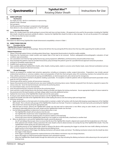

#### **8. HOW SUPPLIED**

- **8.1 Sterilization**
- For single use only. Not for re-sterilization or reprocessing.
- Ethylene Oxide Sterilized
- Non-pyrogenic
- Sterility guaranteed if package is unopened and undamaged.
- Store device in a dry cool place (below 60° C / 140° F) until use.

#### **8.2 Inspection Prior to Use**

• Before use, visually inspect the sterile package to ensure that seals have not been broken. All equipment to be used for the procedure, including the TightRail Mini sheath, should be examined carefully for defects. Examine the TightRail Mini sheath for kinks or other damage. Do not use the product if it is damaged or if the Use-by Date has been exceeded.

#### **9. COMPATIBILITY**

Information for determining TightRail Mini sheath dimensional compatibility is shown in Table 1.

#### **10. DIRECTIONS FOR USE**

#### **10.1 Procedure Set Up**

#### **TightRail Mini Sheath Preparations:**

Using sterile technique, open the sterile package. Remove the lid from the tray and gently lift the device from the tray while supporting the handle and shaft.

#### **Patient Preparations:**

- 1. Obtain a thorough patient history, including patient blood type. Appropriate blood products should be readily available.
- 2. Determine the manufacturer, model number and implant date of the lead to be removed. Perform radiographic/echocardiographic evaluation of lead condition, type and position.
- 3. Use a procedure room that has high quality fluoroscopy, pacing equipment, defibrillator, and thoracotomy and pericardiocentesis trays.
- 4. Prep and drape the patient's chest for possible thoracotomy; prep and drape the patient's groin for a possible femoral approach extraction procedure.
- 5. Arrange for immediate surgical back-up.
- 6. Establish back-up pacing as needed.
- 7. Have available additional TightRail Mini sheaths, other sheaths, locking stylets, stylets to unscrew active fixation leads, snares (femoral workstation) and any other accessory equipment deemed necessary.

#### **10.2 Clinical Technique**

- 1. Patients are prepared for multiple lead extraction approaches, including an emergency cardiac surgical intervention. Preparations may include: general endotracheal anesthesia or conscious sedation, shave and preparation of both the chest and groin areas, ECG monitoring, insertion of an arterial line and a Foley catheter, presence of instruments for pacing and defibrillation, an electrosurgical unit, and a sternal saw for emergencies.
- 2. A temporary pacing lead is inserted in all patients needing a pacemaker. An exception is made for patients with an implanted permanent pacemaker whose leads are not to be extracted.
- 3. Fluoroscopy will be used to monitor all transvenous maneuvers.
- 4. Expose the proximal end of the lead and sever any suture holding the anchoring sleeve suture. Debride overgrowth from the lead as required to expose the venous entry site. Sever the lead terminal pin and remove the anchoring sleeve.
- 5. For active fixation leads, unscrew the lead helix.
- 6. Sever the lead terminal pin connector and remove the anchoring sleeve.
- 7. Insert and lock a Lead Locking Device into the lead as distal as possible and deploy the locking mechanism. Secure appropriate lengths of suture material to the proximal end of the lead insulation and high voltage cables to provide additional traction.
- 8. Hydrate the inner lumen of the TightRail Mini sheath and wet the outer jacket.
- 9. If using an outer sheath, flush the inner lumen and place over the TightRail Mini sheath.
- 10. Support the handle and shaft of the TightRail Mini device while loading the device onto the locking stylet and target lead.
- 11. Extraction technique:
	- a. Apply sturdy traction on the lead and/or its locking stylet to maintain a stable "rail" position with the lead while keeping coaxial alignment of the TightRail Mini sheath. This is critical to safe passage of the TightRail Mini sheath over the lead. If traction is inadequate, the lead may buckle, precluding the TightRail Mini sheath from advancing along the appropriate path.
	- b. With the lead in tension, advance the TightRail Mini sheath over the lead until an obstruction is met. When using an outer sheath, use an "inchworm" technique to alternately advance the outer sheath and the TightRail Mini sheath over the lead.
	- c. Use the following guidelines to determine if a tissue obstruction is met:
		- The TightRail Mini sheath will not advance into the vein.
		- The TightRail Mini sheath bows when longitudinal pressure is applied.
		- Fluoroscopy shows that the sheath tip does not advance relative to the lead body.
		- Fluoroscopy shows that the TightRail Mini sheath tip is not caught on a lead electrode, a lead bend, or another lead.
	- d. When an obstruction is met and the TightRail Mini sheath cannot be advanced:
		- Use AP and oblique fluoroscopic views to ensure that the tip of the TightRail Mini sheath is aligned and coaxial with the longitudinal axis of the lead.
		- If the optional outer sheath is being used,retract the outer sheath so that its distal end does not overlap the tip of the TightRail Mini sheath. Press the TightRail Mini sheath gently into the obstructing tissue.
		- Use gentle pressure on the TightRail Mini sheath to advance the device while squeezing the trigger to activate the inner shaft's dilating mechanism. Apply traction to the locking stylet while advancing and dilating tissue.
		- With each full squeeze of the trigger, the dilating mechanism will extend, rotate, and retract. The dilating mechanism retracts into the sheath tip when the trigger is fully released.
		- If the trigger is partially squeezed the rotational direction of the dilation mechanism may not change directions.
		- Return the trigger to a fully forward position between each subsequent squeeze.
		- When the TightRail Mini sheath breaks through the obstruction you may stop activating the dilating mechanism while advancing to the next point of binding tissue.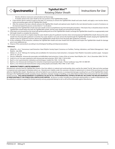

- Monitor all device maneuvers and activations by fluoroscopy.
- If needed, advance the outer sheath to the new position of the TightRail Mini sheath.
- e. If the traction device unlocks its grip on the lead, it is necessary to remove the TightRail Mini sheath and outer sheath, and apply a new traction device, before proceeding again with the TightRail Mini sheath.
- f. After the resistance has been relieved, advance the TightRail Mini sheath and optional outer sheath to the next desired location or point of resistance on the lead and repeat the process as described in 11 (a-d) above.
- 12. Withdrawal of the TightRail Mini sheath and outer sheath can be accomplished at any time during the procedure. If the lead is free, it should be drawn into the TightRail Mini sheath before the lead, the TightRail Mini sheath, and the outer sheath are removed from the body.
- 13. If the lead is not removed from the vessel with gentle pulling and use of the TightRail Mini sheath, exchange the TightRail Mini sheath for an appropriately sized full-length sheath to complete the extraction.
- 14. To retain venous access for re-implant, keep the outer sheath in place for guidewire insertion when removing lead and TightRail Mini sheath. Remove the outer sheath from the body after guidewire is inserted. If an outer sheath is not used, remove the lead through the TightRail Mini sheath, keeping the TightRail Mini sheath in place for guidewire insertion. Remove the TightRail Mini sheath device from the body after guidewire is inserted.
- 15. At the completion of the extraction, withdraw the TightRail Mini sheath and outer sheath from the patient and inspect the TightRail Mini sheath for damage prior to any additional use.
- 16. Dispose of the used products according to local biological handling and disposal procedures.

#### **References**

- 1. Wilkoff B.L., et al. Transvenous Lead Extraction: Heart Rhythm Society Expert Consensus on Facilities, Training, Indications, and Patient Management. Heart Rhythm. July 2009.
- 2. Deharo J.C., et al. Pathways for training and accreditation for transvenous lead extraction: a European Heart Rhythm Association position paper. Europace (2012) 14, 124-134
- 3. Verma A, Wilkoff BL. Intravascular pacemaker and defibrillator lead extraction: A state-of-the-art review. Heart Rhythm, Vol. 1, No. 6, December 2004; 739-745.
- 4. Smith HJ, et al. Five-years experience with intravascular lead extraction. PACE 1994; 17:2016-2020.
- 5. Byrd CL, et al. Lead extraction: indications and techniques. Cardiol Clin 1992: 10:735-748.
- 6. Byrd CL, et al. Intravascular techniques for extraction of permanent pacemaker leads. J Thorac Cardiovasc Surg 1991:101:989-997.
- 7. Byrd CL, et al. Intravascular lead extraction using Locking Stylets and sheaths. PACE 1990: 13:1871-1875.

#### **11. MANUFACTURER'S LIMITED WARRANTY**

Manufacturer warrants that the TightRail Mini sheath is free from defects in material and workmanship when used by the stated "Use By" date and when package is unopened and undamaged immediately before use. Manufacturer's liability under this warranty is limited to replacement or refund of the purchase price of any defective TightRail Mini sheath. Manufacturer will not be liable for any incidental, special, or consequential damages resulting from use of the TightRail Mini sheath. Damage to the TightRail Mini sheath caused by misuse, alteration, improper storage or handling, or any other failure to follow these Instructions for Use will void this limited warranty. **THIS LIMITED WARRANTY IS EXPRESSLY IN LIEU OF ALL OTHER WARRANTIES, EXPRESS OR IMPLIED, INCLUDING THE IMPLIED WARRANTY OF MERCHANTABILITY OR FITNESS FOR A PARTICULAR PURPOSE.** No person or entity, including any authorized representative or reseller of Manufacturer, has the authority to extend or expand this limited warranty and any purported attempt to do so will not be enforceable against Manufacturer.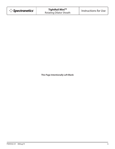| <b>○ Spectranetics</b> ® | TightRail Mini™<br><b>Rotating Dilator Sheath</b> | <b>Instructions for Use</b> |
|--------------------------|---------------------------------------------------|-----------------------------|
|--------------------------|---------------------------------------------------|-----------------------------|

**This Page Intentionally Left Blank**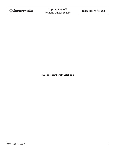| <b>○ Spectranetics</b> ® | TightRail Mini™<br><b>Rotating Dilator Sheath</b> | <b>Instructions for Use</b> |
|--------------------------|---------------------------------------------------|-----------------------------|
|--------------------------|---------------------------------------------------|-----------------------------|

**This Page Intentionally Left Blank**